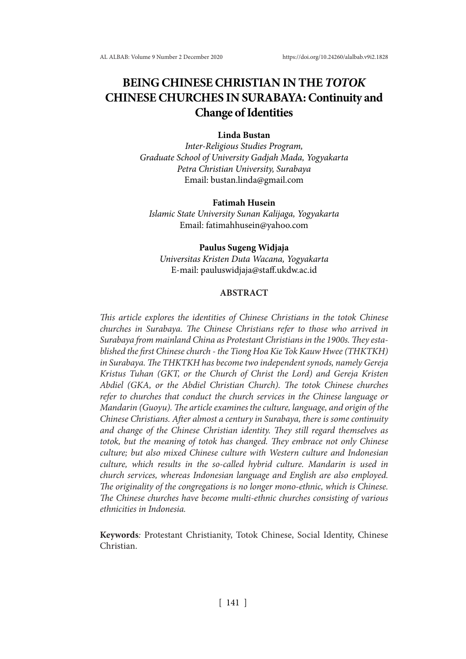# **BEING CHINESE CHRISTIAN IN THE** *TOTOK* **CHINESE CHURCHES IN SURABAYA: Continuity and Change of Identities**

# **Linda Bustan**

*Inter-Religious Studies Program, Graduate School of University Gadjah Mada, Yogyakarta Petra Christian University, Surabaya* Email: bustan.linda@gmail.com

#### **Fatimah Husein**

*Islamic State University Sunan Kalijaga, Yogyakarta* Email: fatimahhusein@yahoo.com

#### **Paulus Sugeng Widjaja**

*Universitas Kristen Duta Wacana, Yogyakarta* E-mail: pauluswidjaja@staff.ukdw.ac.id

# **ABSTRACT**

*This article explores the identities of Chinese Christians in the totok Chinese churches in Surabaya. The Chinese Christians refer to those who arrived in Surabaya from mainland China as Protestant Christians in the 1900s. They established the first Chinese church - the Tiong Hoa Kie Tok Kauw Hwee (THKTKH) in Surabaya. The THKTKH has become two independent synods, namely Gereja Kristus Tuhan (GKT, or the Church of Christ the Lord) and Gereja Kristen Abdiel (GKA, or the Abdiel Christian Church). The totok Chinese churches refer to churches that conduct the church services in the Chinese language or Mandarin (Guoyu). The article examines the culture, language, and origin of the Chinese Christians. After almost a century in Surabaya, there is some continuity and change of the Chinese Christian identity. They still regard themselves as totok, but the meaning of totok has changed. They embrace not only Chinese culture; but also mixed Chinese culture with Western culture and Indonesian culture, which results in the so-called hybrid culture. Mandarin is used in church services, whereas Indonesian language and English are also employed. The originality of the congregations is no longer mono-ethnic, which is Chinese. The Chinese churches have become multi-ethnic churches consisting of various ethnicities in Indonesia.* 

**Keywords***:* Protestant Christianity, Totok Chinese, Social Identity, Chinese Christian.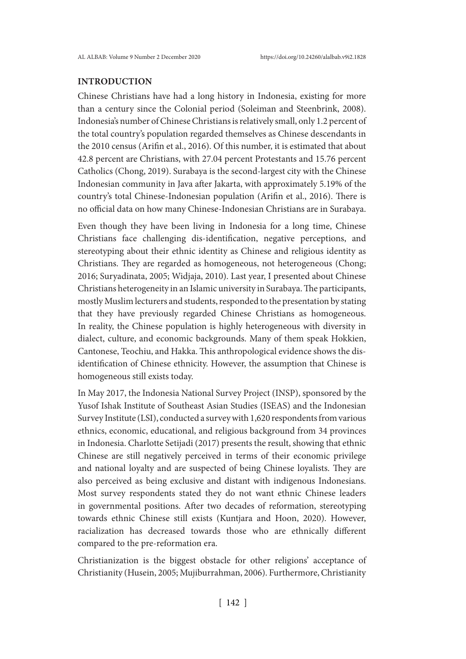# **INTRODUCTION**

Chinese Christians have had a long history in Indonesia, existing for more than a century since the Colonial period (Soleiman and Steenbrink, 2008). Indonesia's number of Chinese Christians is relatively small, only 1.2 percent of the total country's population regarded themselves as Chinese descendants in the 2010 census (Arifin et al., 2016). Of this number, it is estimated that about 42.8 percent are Christians, with 27.04 percent Protestants and 15.76 percent Catholics (Chong, 2019). Surabaya is the second-largest city with the Chinese Indonesian community in Java after Jakarta, with approximately 5.19% of the country's total Chinese-Indonesian population (Arifin et al., 2016). There is no official data on how many Chinese-Indonesian Christians are in Surabaya.

Even though they have been living in Indonesia for a long time, Chinese Christians face challenging dis-identification, negative perceptions, and stereotyping about their ethnic identity as Chinese and religious identity as Christians. They are regarded as homogeneous, not heterogeneous (Chong; 2016; Suryadinata, 2005; Widjaja, 2010). Last year, I presented about Chinese Christians heterogeneity in an Islamic university in Surabaya. The participants, mostly Muslim lecturers and students, responded to the presentation by stating that they have previously regarded Chinese Christians as homogeneous. In reality, the Chinese population is highly heterogeneous with diversity in dialect, culture, and economic backgrounds. Many of them speak Hokkien, Cantonese, Teochiu, and Hakka. This anthropological evidence shows the disidentification of Chinese ethnicity. However, the assumption that Chinese is homogeneous still exists today.

In May 2017, the Indonesia National Survey Project (INSP), sponsored by the Yusof Ishak Institute of Southeast Asian Studies (ISEAS) and the Indonesian Survey Institute (LSI), conducted a survey with 1,620 respondents from various ethnics, economic, educational, and religious background from 34 provinces in Indonesia. Charlotte Setijadi (2017) presents the result, showing that ethnic Chinese are still negatively perceived in terms of their economic privilege and national loyalty and are suspected of being Chinese loyalists. They are also perceived as being exclusive and distant with indigenous Indonesians. Most survey respondents stated they do not want ethnic Chinese leaders in governmental positions. After two decades of reformation, stereotyping towards ethnic Chinese still exists (Kuntjara and Hoon, 2020). However, racialization has decreased towards those who are ethnically different compared to the pre-reformation era.

Christianization is the biggest obstacle for other religions' acceptance of Christianity (Husein, 2005; Mujiburrahman, 2006). Furthermore, Christianity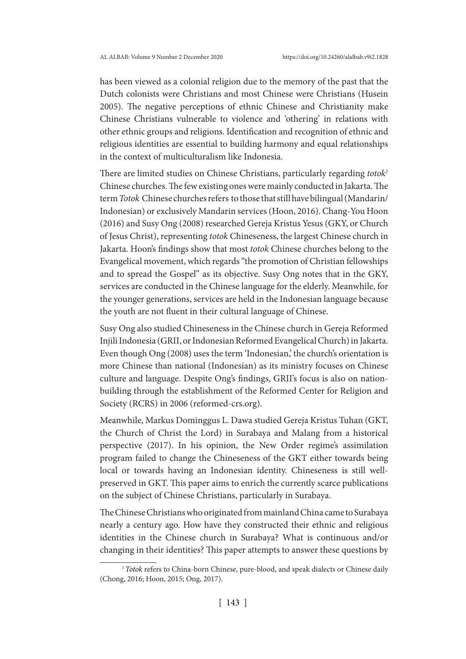has been viewed as a colonial religion due to the memory of the past that the Dutch colonists were Christians and most Chinese were Christians (Husein 2005). The negative perceptions of ethnic Chinese and Christianity make Chinese Christians vulnerable to violence and 'othering' in relations with other ethnic groups and religions. Identification and recognition of ethnic and religious identities are essential to building harmony and equal relationships in the context of multiculturalism like Indonesia.

There are limited studies on Chinese Christians, particularly regarding *totok1* Chinese churches. The few existing ones were mainly conducted in Jakarta. The term *Totok* Chinese churches refers to those that still have bilingual (Mandarin/ Indonesian) or exclusively Mandarin services (Hoon, 2016). Chang-You Hoon (2016) and Susy Ong (2008) researched Gereja Kristus Yesus (GKY, or Church of Jesus Christ), representing *totok* Chineseness, the largest Chinese church in Jakarta. Hoon's findings show that most *totok* Chinese churches belong to the Evangelical movement, which regards "the promotion of Christian fellowships and to spread the Gospel" as its objective. Susy Ong notes that in the GKY, services are conducted in the Chinese language for the elderly. Meanwhile, for the younger generations, services are held in the Indonesian language because the youth are not fluent in their cultural language of Chinese.

Susy Ong also studied Chineseness in the Chinese church in Gereja Reformed Injili Indonesia (GRII, or Indonesian Reformed Evangelical Church) in Jakarta. Even though Ong (2008) uses the term 'Indonesian,' the church's orientation is more Chinese than national (Indonesian) as its ministry focuses on Chinese culture and language. Despite Ong's findings, GRII's focus is also on nationbuilding through the establishment of the Reformed Center for Religion and Society (RCRS) in 2006 (reformed-crs.org).

Meanwhile, Markus Dominggus L. Dawa studied Gereja Kristus Tuhan (GKT, the Church of Christ the Lord) in Surabaya and Malang from a historical perspective (2017). In his opinion, the New Order regime's assimilation program failed to change the Chineseness of the GKT either towards being local or towards having an Indonesian identity. Chineseness is still wellpreserved in GKT. This paper aims to enrich the currently scarce publications on the subject of Chinese Christians, particularly in Surabaya.

The Chinese Christians who originated from mainland China came to Surabaya nearly a century ago. How have they constructed their ethnic and religious identities in the Chinese church in Surabaya? What is continuous and/or changing in their identities? This paper attempts to answer these questions by

<sup>&</sup>lt;sup>1</sup> Totok refers to China-born Chinese, pure-blood, and speak dialects or Chinese daily (Chong, 2016; Hoon, 2015; Ong, 2017).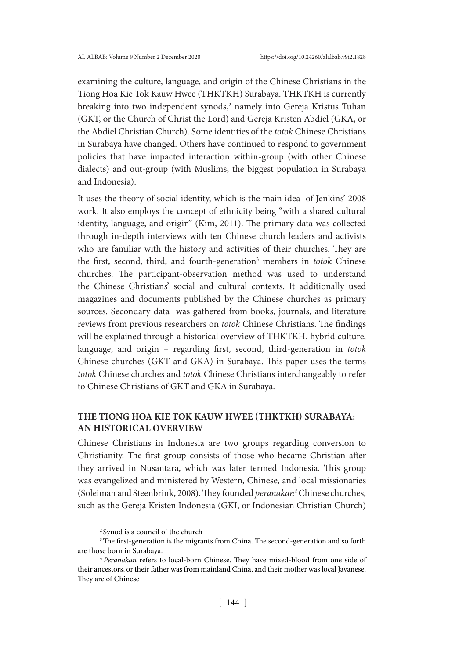examining the culture, language, and origin of the Chinese Christians in the Tiong Hoa Kie Tok Kauw Hwee (THKTKH) Surabaya. THKTKH is currently breaking into two independent synods,<sup>2</sup> namely into Gereja Kristus Tuhan (GKT, or the Church of Christ the Lord) and Gereja Kristen Abdiel (GKA, or the Abdiel Christian Church). Some identities of the *totok* Chinese Christians in Surabaya have changed. Others have continued to respond to government policies that have impacted interaction within-group (with other Chinese dialects) and out-group (with Muslims, the biggest population in Surabaya and Indonesia).

It uses the theory of social identity, which is the main idea of Jenkins' 2008 work. It also employs the concept of ethnicity being "with a shared cultural identity, language, and origin" (Kim, 2011). The primary data was collected through in-depth interviews with ten Chinese church leaders and activists who are familiar with the history and activities of their churches. They are the first, second, third, and fourth-generation<sup>3</sup> members in *totok* Chinese churches. The participant-observation method was used to understand the Chinese Christians' social and cultural contexts. It additionally used magazines and documents published by the Chinese churches as primary sources. Secondary data was gathered from books, journals, and literature reviews from previous researchers on *totok* Chinese Christians. The findings will be explained through a historical overview of THKTKH, hybrid culture, language, and origin – regarding first, second, third-generation in *totok*  Chinese churches (GKT and GKA) in Surabaya. This paper uses the terms *totok* Chinese churches and *totok* Chinese Christians interchangeably to refer to Chinese Christians of GKT and GKA in Surabaya.

# **THE TIONG HOA KIE TOK KAUW HWEE (THKTKH) SURABAYA: AN HISTORICAL OVERVIEW**

Chinese Christians in Indonesia are two groups regarding conversion to Christianity. The first group consists of those who became Christian after they arrived in Nusantara, which was later termed Indonesia. This group was evangelized and ministered by Western, Chinese, and local missionaries (Soleiman and Steenbrink, 2008). They founded *peranakan4* Chinese churches, such as the Gereja Kristen Indonesia (GKI, or Indonesian Christian Church)

<sup>2</sup> Synod is a council of the church

<sup>&</sup>lt;sup>3</sup>The first-generation is the migrants from China. The second-generation and so forth are those born in Surabaya.

<sup>4</sup> *Peranakan* refers to local-born Chinese. They have mixed-blood from one side of their ancestors, or their father was from mainland China, and their mother was local Javanese. They are of Chinese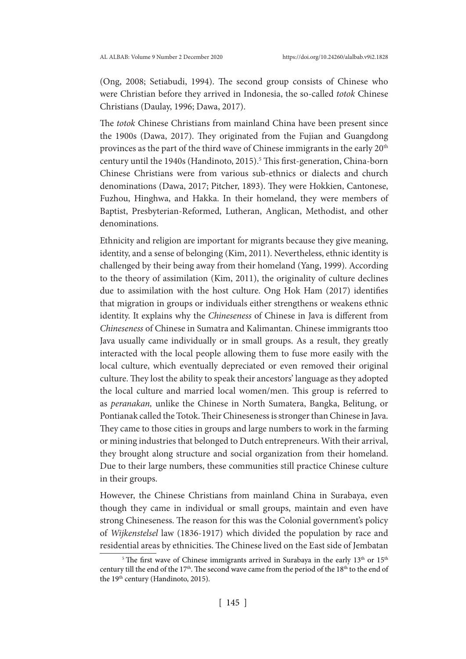(Ong, 2008; Setiabudi, 1994). The second group consists of Chinese who were Christian before they arrived in Indonesia, the so-called *totok* Chinese Christians (Daulay, 1996; Dawa, 2017).

The *totok* Chinese Christians from mainland China have been present since the 1900s (Dawa, 2017). They originated from the Fujian and Guangdong provinces as the part of the third wave of Chinese immigrants in the early 20<sup>th</sup> century until the 1940s (Handinoto, 2015).<sup>5</sup> This first-generation, China-born Chinese Christians were from various sub-ethnics or dialects and church denominations (Dawa, 2017; Pitcher, 1893). They were Hokkien, Cantonese, Fuzhou, Hinghwa, and Hakka. In their homeland, they were members of Baptist, Presbyterian-Reformed, Lutheran, Anglican, Methodist, and other denominations.

Ethnicity and religion are important for migrants because they give meaning, identity, and a sense of belonging (Kim, 2011). Nevertheless, ethnic identity is challenged by their being away from their homeland (Yang, 1999). According to the theory of assimilation (Kim, 2011), the originality of culture declines due to assimilation with the host culture. Ong Hok Ham (2017) identifies that migration in groups or individuals either strengthens or weakens ethnic identity. It explains why the *Chineseness* of Chinese in Java is different from *Chineseness* of Chinese in Sumatra and Kalimantan. Chinese immigrants ttoo Java usually came individually or in small groups. As a result, they greatly interacted with the local people allowing them to fuse more easily with the local culture, which eventually depreciated or even removed their original culture. They lost the ability to speak their ancestors' language as they adopted the local culture and married local women/men. This group is referred to as *peranakan,* unlike the Chinese in North Sumatera, Bangka, Belitung, or Pontianak called the Totok. Their Chineseness is stronger than Chinese in Java. They came to those cities in groups and large numbers to work in the farming or mining industries that belonged to Dutch entrepreneurs. With their arrival, they brought along structure and social organization from their homeland. Due to their large numbers, these communities still practice Chinese culture in their groups.

However, the Chinese Christians from mainland China in Surabaya, even though they came in individual or small groups, maintain and even have strong Chineseness. The reason for this was the Colonial government's policy of *Wijkenstelsel* law (1836-1917) which divided the population by race and residential areas by ethnicities. The Chinese lived on the East side of Jembatan

<sup>&</sup>lt;sup>5</sup> The first wave of Chinese immigrants arrived in Surabaya in the early  $13<sup>th</sup>$  or  $15<sup>th</sup>$ century till the end of the 17<sup>th</sup>. The second wave came from the period of the 18<sup>th</sup> to the end of the 19<sup>th</sup> century (Handinoto, 2015).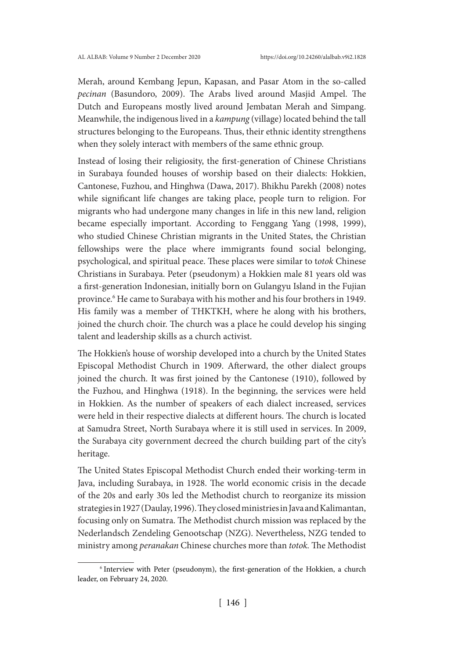Merah, around Kembang Jepun, Kapasan, and Pasar Atom in the so-called *pecinan* (Basundoro, 2009). The Arabs lived around Masjid Ampel. The Dutch and Europeans mostly lived around Jembatan Merah and Simpang. Meanwhile, the indigenous lived in a *kampung* (village) located behind the tall structures belonging to the Europeans. Thus, their ethnic identity strengthens when they solely interact with members of the same ethnic group.

Instead of losing their religiosity, the first-generation of Chinese Christians in Surabaya founded houses of worship based on their dialects: Hokkien, Cantonese, Fuzhou, and Hinghwa (Dawa, 2017). Bhikhu Parekh (2008) notes while significant life changes are taking place, people turn to religion. For migrants who had undergone many changes in life in this new land, religion became especially important. According to Fenggang Yang (1998, 1999), who studied Chinese Christian migrants in the United States, the Christian fellowships were the place where immigrants found social belonging, psychological, and spiritual peace. These places were similar to t*otok* Chinese Christians in Surabaya. Peter (pseudonym) a Hokkien male 81 years old was a first-generation Indonesian, initially born on Gulangyu Island in the Fujian province.<sup>6</sup> He came to Surabaya with his mother and his four brothers in 1949. His family was a member of THKTKH, where he along with his brothers, joined the church choir. The church was a place he could develop his singing talent and leadership skills as a church activist.

The Hokkien's house of worship developed into a church by the United States Episcopal Methodist Church in 1909. Afterward, the other dialect groups joined the church. It was first joined by the Cantonese (1910), followed by the Fuzhou, and Hinghwa (1918). In the beginning, the services were held in Hokkien. As the number of speakers of each dialect increased, services were held in their respective dialects at different hours. The church is located at Samudra Street, North Surabaya where it is still used in services. In 2009, the Surabaya city government decreed the church building part of the city's heritage.

The United States Episcopal Methodist Church ended their working-term in Java, including Surabaya, in 1928. The world economic crisis in the decade of the 20s and early 30s led the Methodist church to reorganize its mission strategies in 1927 (Daulay, 1996). They closed ministries in Java and Kalimantan, focusing only on Sumatra. The Methodist church mission was replaced by the Nederlandsch Zendeling Genootschap (NZG). Nevertheless, NZG tended to ministry among *peranakan* Chinese churches more than *totok.* The Methodist

<sup>&</sup>lt;sup>6</sup> Interview with Peter (pseudonym), the first-generation of the Hokkien, a church leader, on February 24, 2020.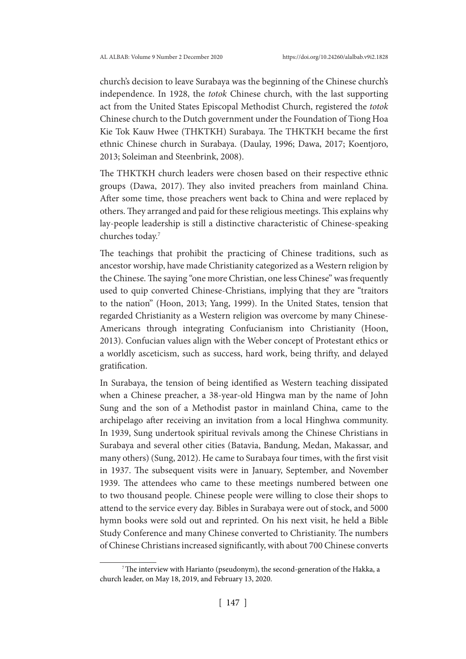church's decision to leave Surabaya was the beginning of the Chinese church's independence. In 1928, the *totok* Chinese church, with the last supporting act from the United States Episcopal Methodist Church, registered the *totok*  Chinese church to the Dutch government under the Foundation of Tiong Hoa Kie Tok Kauw Hwee (THKTKH) Surabaya. The THKTKH became the first ethnic Chinese church in Surabaya. (Daulay, 1996; Dawa, 2017; Koentjoro, 2013; Soleiman and Steenbrink, 2008).

The THKTKH church leaders were chosen based on their respective ethnic groups (Dawa, 2017). They also invited preachers from mainland China. After some time, those preachers went back to China and were replaced by others. They arranged and paid for these religious meetings. This explains why lay-people leadership is still a distinctive characteristic of Chinese-speaking churches today.7

The teachings that prohibit the practicing of Chinese traditions, such as ancestor worship, have made Christianity categorized as a Western religion by the Chinese. The saying "one more Christian, one less Chinese" was frequently used to quip converted Chinese-Christians, implying that they are "traitors to the nation" (Hoon, 2013; Yang, 1999). In the United States, tension that regarded Christianity as a Western religion was overcome by many Chinese-Americans through integrating Confucianism into Christianity (Hoon, 2013). Confucian values align with the Weber concept of Protestant ethics or a worldly asceticism, such as success, hard work, being thrifty, and delayed gratification.

In Surabaya, the tension of being identified as Western teaching dissipated when a Chinese preacher, a 38-year-old Hingwa man by the name of John Sung and the son of a Methodist pastor in mainland China, came to the archipelago after receiving an invitation from a local Hinghwa community. In 1939, Sung undertook spiritual revivals among the Chinese Christians in Surabaya and several other cities (Batavia, Bandung, Medan, Makassar, and many others) (Sung, 2012). He came to Surabaya four times, with the first visit in 1937. The subsequent visits were in January, September, and November 1939. The attendees who came to these meetings numbered between one to two thousand people. Chinese people were willing to close their shops to attend to the service every day. Bibles in Surabaya were out of stock, and 5000 hymn books were sold out and reprinted. On his next visit, he held a Bible Study Conference and many Chinese converted to Christianity. The numbers of Chinese Christians increased significantly, with about 700 Chinese converts

<sup>&</sup>lt;sup>7</sup>The interview with Harianto (pseudonym), the second-generation of the Hakka, a church leader, on May 18, 2019, and February 13, 2020.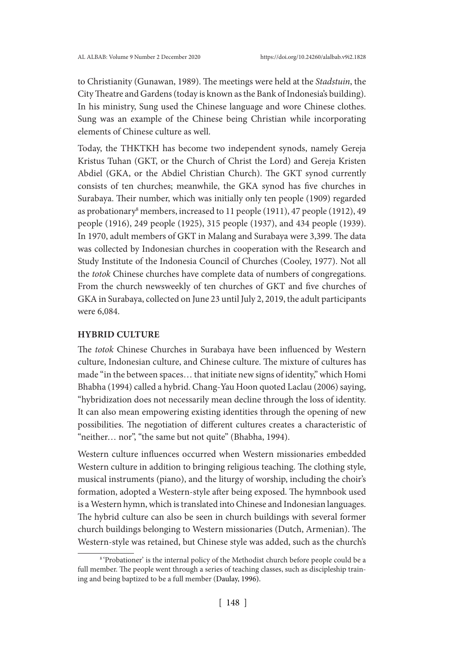to Christianity (Gunawan, 1989). The meetings were held at the *Stadstuin*, the City Theatre and Gardens (today is known as the Bank of Indonesia's building). In his ministry, Sung used the Chinese language and wore Chinese clothes. Sung was an example of the Chinese being Christian while incorporating elements of Chinese culture as well.

Today, the THKTKH has become two independent synods, namely Gereja Kristus Tuhan (GKT, or the Church of Christ the Lord) and Gereja Kristen Abdiel (GKA, or the Abdiel Christian Church). The GKT synod currently consists of ten churches; meanwhile, the GKA synod has five churches in Surabaya. Their number, which was initially only ten people (1909) regarded as probationary<sup>8</sup> members, increased to 11 people (1911), 47 people (1912), 49 people (1916), 249 people (1925), 315 people (1937), and 434 people (1939). In 1970, adult members of GKT in Malang and Surabaya were 3,399. The data was collected by Indonesian churches in cooperation with the Research and Study Institute of the Indonesia Council of Churches (Cooley, 1977). Not all the *totok* Chinese churches have complete data of numbers of congregations. From the church newsweekly of ten churches of GKT and five churches of GKA in Surabaya, collected on June 23 until July 2, 2019, the adult participants were 6,084.

### **HYBRID CULTURE**

The *totok* Chinese Churches in Surabaya have been influenced by Western culture, Indonesian culture, and Chinese culture. The mixture of cultures has made "in the between spaces… that initiate new signs of identity," which Homi Bhabha (1994) called a hybrid. Chang-Yau Hoon quoted Laclau (2006) saying, "hybridization does not necessarily mean decline through the loss of identity. It can also mean empowering existing identities through the opening of new possibilities. The negotiation of different cultures creates a characteristic of "neither... nor", "the same but not quite" (Bhabha, 1994).

Western culture influences occurred when Western missionaries embedded Western culture in addition to bringing religious teaching. The clothing style, musical instruments (piano), and the liturgy of worship, including the choir's formation, adopted a Western-style after being exposed. The hymnbook used is a Western hymn, which is translated into Chinese and Indonesian languages. The hybrid culture can also be seen in church buildings with several former church buildings belonging to Western missionaries (Dutch, Armenian). The Western-style was retained, but Chinese style was added, such as the church's

<sup>8</sup> 'Probationer' is the internal policy of the Methodist church before people could be a full member. The people went through a series of teaching classes, such as discipleship training and being baptized to be a full member (Daulay, 1996).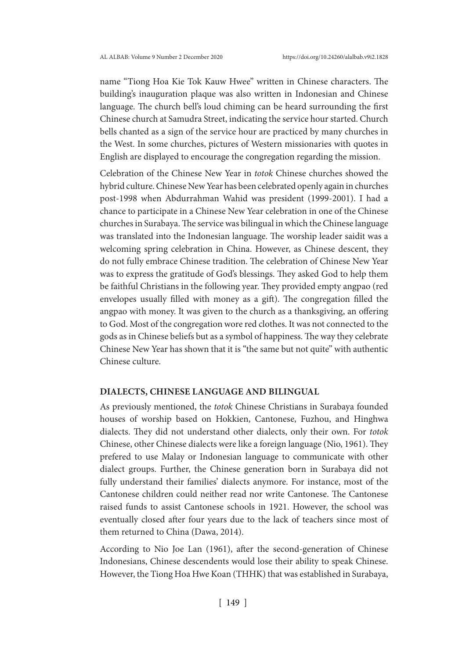name "Tiong Hoa Kie Tok Kauw Hwee" written in Chinese characters. The building's inauguration plaque was also written in Indonesian and Chinese language. The church bell's loud chiming can be heard surrounding the first Chinese church at Samudra Street, indicating the service hour started. Church bells chanted as a sign of the service hour are practiced by many churches in the West. In some churches, pictures of Western missionaries with quotes in English are displayed to encourage the congregation regarding the mission.

Celebration of the Chinese New Year in *totok* Chinese churches showed the hybrid culture. Chinese New Year has been celebrated openly again in churches post-1998 when Abdurrahman Wahid was president (1999-2001). I had a chance to participate in a Chinese New Year celebration in one of the Chinese churches in Surabaya. The service was bilingual in which the Chinese language was translated into the Indonesian language. The worship leader saidit was a welcoming spring celebration in China. However, as Chinese descent, they do not fully embrace Chinese tradition. The celebration of Chinese New Year was to express the gratitude of God's blessings. They asked God to help them be faithful Christians in the following year. They provided empty angpao (red envelopes usually filled with money as a gift). The congregation filled the angpao with money. It was given to the church as a thanksgiving, an offering to God. Most of the congregation wore red clothes. It was not connected to the gods as in Chinese beliefs but as a symbol of happiness. The way they celebrate Chinese New Year has shown that it is "the same but not quite" with authentic Chinese culture.

#### **DIALECTS, CHINESE LANGUAGE AND BILINGUAL**

As previously mentioned, the *totok* Chinese Christians in Surabaya founded houses of worship based on Hokkien, Cantonese, Fuzhou, and Hinghwa dialects. They did not understand other dialects, only their own. For *totok*  Chinese, other Chinese dialects were like a foreign language (Nio, 1961). They prefered to use Malay or Indonesian language to communicate with other dialect groups. Further, the Chinese generation born in Surabaya did not fully understand their families' dialects anymore. For instance, most of the Cantonese children could neither read nor write Cantonese. The Cantonese raised funds to assist Cantonese schools in 1921. However, the school was eventually closed after four years due to the lack of teachers since most of them returned to China (Dawa, 2014).

According to Nio Joe Lan (1961), after the second-generation of Chinese Indonesians, Chinese descendents would lose their ability to speak Chinese. However, the Tiong Hoa Hwe Koan (THHK) that was established in Surabaya,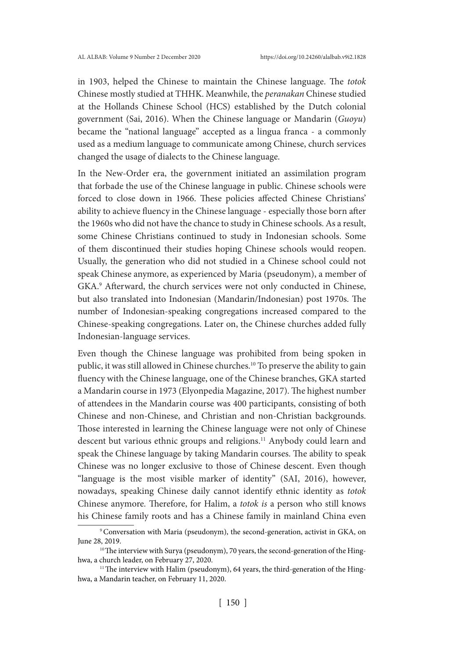in 1903, helped the Chinese to maintain the Chinese language. The *totok*  Chinese mostly studied at THHK. Meanwhile, the *peranakan* Chinese studied at the Hollands Chinese School (HCS) established by the Dutch colonial government (Sai, 2016). When the Chinese language or Mandarin (*Guoyu*) became the "national language" accepted as a lingua franca - a commonly used as a medium language to communicate among Chinese, church services changed the usage of dialects to the Chinese language.

In the New-Order era, the government initiated an assimilation program that forbade the use of the Chinese language in public. Chinese schools were forced to close down in 1966. These policies affected Chinese Christians' ability to achieve fluency in the Chinese language - especially those born after the 1960s who did not have the chance to study in Chinese schools. As a result, some Chinese Christians continued to study in Indonesian schools. Some of them discontinued their studies hoping Chinese schools would reopen. Usually, the generation who did not studied in a Chinese school could not speak Chinese anymore, as experienced by Maria (pseudonym), a member of GKA.<sup>9</sup> Afterward, the church services were not only conducted in Chinese, but also translated into Indonesian (Mandarin/Indonesian) post 1970s. The number of Indonesian-speaking congregations increased compared to the Chinese-speaking congregations. Later on, the Chinese churches added fully Indonesian-language services.

Even though the Chinese language was prohibited from being spoken in public, it was still allowed in Chinese churches.10 To preserve the ability to gain fluency with the Chinese language, one of the Chinese branches, GKA started a Mandarin course in 1973 (Elyonpedia Magazine, 2017). The highest number of attendees in the Mandarin course was 400 participants, consisting of both Chinese and non-Chinese, and Christian and non-Christian backgrounds. Those interested in learning the Chinese language were not only of Chinese descent but various ethnic groups and religions.<sup>11</sup> Anybody could learn and speak the Chinese language by taking Mandarin courses. The ability to speak Chinese was no longer exclusive to those of Chinese descent. Even though "language is the most visible marker of identity" (SAI, 2016), however, nowadays, speaking Chinese daily cannot identify ethnic identity as *totok*  Chinese anymore*.* Therefore, for Halim, a *totok is* a person who still knows his Chinese family roots and has a Chinese family in mainland China even

<sup>&</sup>lt;sup>9</sup> Conversation with Maria (pseudonym), the second-generation, activist in GKA, on June 28, 2019.<br><sup>10</sup>The interview with Surya (pseudonym), 70 years, the second-generation of the Hing-

hwa, a church leader, on February 27, 2020.

<sup>&</sup>lt;sup>11</sup>The interview with Halim (pseudonym), 64 years, the third-generation of the Hinghwa, a Mandarin teacher, on February 11, 2020.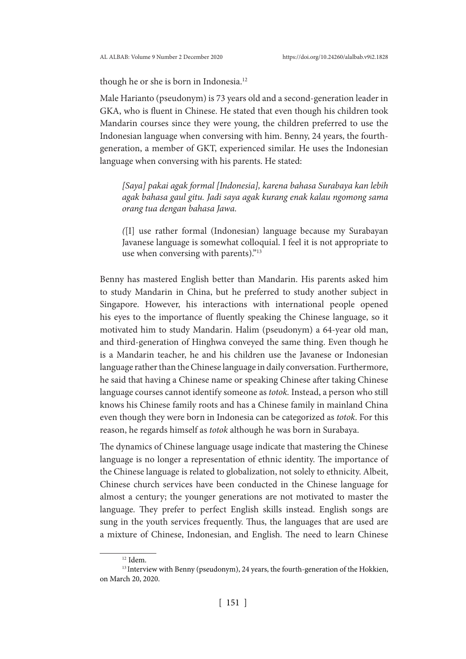though he or she is born in Indonesia.<sup>12</sup>

Male Harianto (pseudonym) is 73 years old and a second-generation leader in GKA, who is fluent in Chinese. He stated that even though his children took Mandarin courses since they were young, the children preferred to use the Indonesian language when conversing with him. Benny, 24 years, the fourthgeneration, a member of GKT, experienced similar. He uses the Indonesian language when conversing with his parents. He stated:

*[Saya] pakai agak formal [Indonesia], karena bahasa Surabaya kan lebih agak bahasa gaul gitu. Jadi saya agak kurang enak kalau ngomong sama orang tua dengan bahasa Jawa.* 

*(*[I] use rather formal (Indonesian) language because my Surabayan Javanese language is somewhat colloquial. I feel it is not appropriate to use when conversing with parents)."13

Benny has mastered English better than Mandarin. His parents asked him to study Mandarin in China, but he preferred to study another subject in Singapore. However, his interactions with international people opened his eyes to the importance of fluently speaking the Chinese language, so it motivated him to study Mandarin. Halim (pseudonym) a 64-year old man, and third-generation of Hinghwa conveyed the same thing. Even though he is a Mandarin teacher, he and his children use the Javanese or Indonesian language rather than the Chinese language in daily conversation. Furthermore, he said that having a Chinese name or speaking Chinese after taking Chinese language courses cannot identify someone as *totok.* Instead, a person who still knows his Chinese family roots and has a Chinese family in mainland China even though they were born in Indonesia can be categorized as *totok*. For this reason, he regards himself as *totok* although he was born in Surabaya.

The dynamics of Chinese language usage indicate that mastering the Chinese language is no longer a representation of ethnic identity. The importance of the Chinese language is related to globalization, not solely to ethnicity. Albeit, Chinese church services have been conducted in the Chinese language for almost a century; the younger generations are not motivated to master the language. They prefer to perfect English skills instead. English songs are sung in the youth services frequently. Thus, the languages that are used are a mixture of Chinese, Indonesian, and English. The need to learn Chinese

 $^{12}$  Idem.

<sup>&</sup>lt;sup>13</sup> Interview with Benny (pseudonym), 24 years, the fourth-generation of the Hokkien, on March 20, 2020.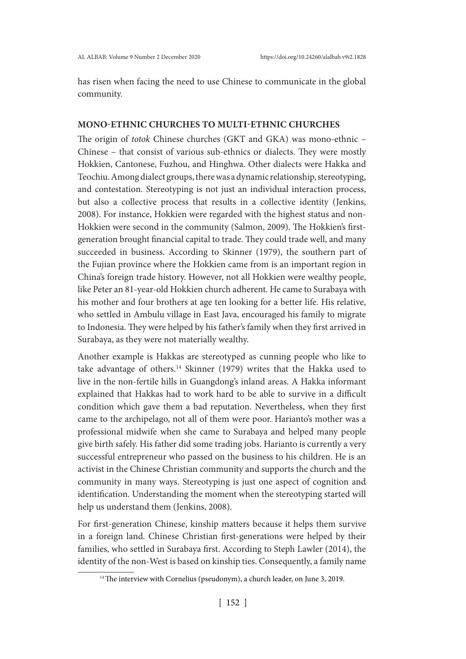has risen when facing the need to use Chinese to communicate in the global community.

#### **MONO-ETHNIC CHURCHES TO MULTI-ETHNIC CHURCHES**

The origin of *totok* Chinese churches (GKT and GKA) was mono-ethnic – Chinese – that consist of various sub-ethnics or dialects. They were mostly Hokkien, Cantonese, Fuzhou, and Hinghwa. Other dialects were Hakka and Teochiu. Among dialect groups, there was a dynamic relationship, stereotyping, and contestation. Stereotyping is not just an individual interaction process, but also a collective process that results in a collective identity (Jenkins, 2008). For instance, Hokkien were regarded with the highest status and non-Hokkien were second in the community (Salmon, 2009). The Hokkien's firstgeneration brought financial capital to trade. They could trade well, and many succeeded in business. According to Skinner (1979), the southern part of the Fujian province where the Hokkien came from is an important region in China's foreign trade history. However, not all Hokkien were wealthy people, like Peter an 81-year-old Hokkien church adherent. He came to Surabaya with his mother and four brothers at age ten looking for a better life. His relative, who settled in Ambulu village in East Java, encouraged his family to migrate to Indonesia. They were helped by his father's family when they first arrived in Surabaya, as they were not materially wealthy.

Another example is Hakkas are stereotyped as cunning people who like to take advantage of others.<sup>14</sup> Skinner (1979) writes that the Hakka used to live in the non-fertile hills in Guangdong's inland areas. A Hakka informant explained that Hakkas had to work hard to be able to survive in a difficult condition which gave them a bad reputation. Nevertheless, when they first came to the archipelago, not all of them were poor. Harianto's mother was a professional midwife when she came to Surabaya and helped many people give birth safely. His father did some trading jobs. Harianto is currently a very successful entrepreneur who passed on the business to his children. He is an activist in the Chinese Christian community and supports the church and the community in many ways. Stereotyping is just one aspect of cognition and identification. Understanding the moment when the stereotyping started will help us understand them (Jenkins, 2008).

For first-generation Chinese, kinship matters because it helps them survive in a foreign land. Chinese Christian first-generations were helped by their families, who settled in Surabaya first. According to Steph Lawler (2014), the identity of the non-West is based on kinship ties. Consequently, a family name

<sup>&</sup>lt;sup>14</sup>The interview with Cornelius (pseudonym), a church leader, on June 3, 2019.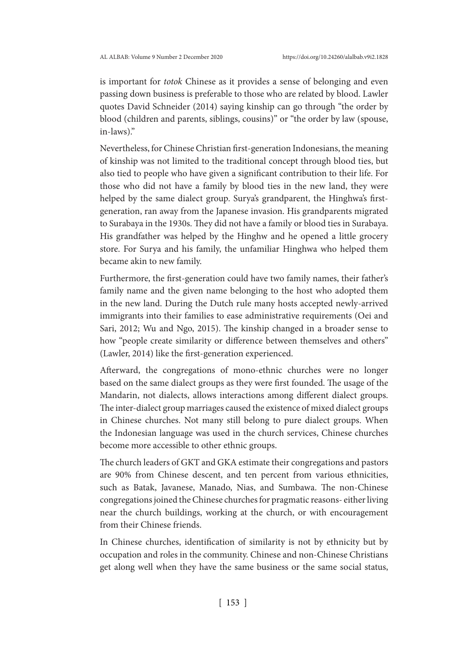is important for *totok* Chinese as it provides a sense of belonging and even passing down business is preferable to those who are related by blood. Lawler quotes David Schneider (2014) saying kinship can go through "the order by blood (children and parents, siblings, cousins)" or "the order by law (spouse, in-laws)."

Nevertheless, for Chinese Christian first-generation Indonesians, the meaning of kinship was not limited to the traditional concept through blood ties, but also tied to people who have given a significant contribution to their life. For those who did not have a family by blood ties in the new land, they were helped by the same dialect group. Surya's grandparent, the Hinghwa's firstgeneration, ran away from the Japanese invasion. His grandparents migrated to Surabaya in the 1930s. They did not have a family or blood ties in Surabaya. His grandfather was helped by the Hinghw and he opened a little grocery store. For Surya and his family, the unfamiliar Hinghwa who helped them became akin to new family.

Furthermore, the first-generation could have two family names, their father's family name and the given name belonging to the host who adopted them in the new land. During the Dutch rule many hosts accepted newly-arrived immigrants into their families to ease administrative requirements (Oei and Sari, 2012; Wu and Ngo, 2015). The kinship changed in a broader sense to how "people create similarity or difference between themselves and others" (Lawler, 2014) like the first-generation experienced.

Afterward, the congregations of mono-ethnic churches were no longer based on the same dialect groups as they were first founded. The usage of the Mandarin, not dialects, allows interactions among different dialect groups. The inter-dialect group marriages caused the existence of mixed dialect groups in Chinese churches. Not many still belong to pure dialect groups. When the Indonesian language was used in the church services, Chinese churches become more accessible to other ethnic groups.

The church leaders of GKT and GKA estimate their congregations and pastors are 90% from Chinese descent, and ten percent from various ethnicities, such as Batak, Javanese, Manado, Nias, and Sumbawa. The non-Chinese congregations joined the Chinese churches for pragmatic reasons- either living near the church buildings, working at the church, or with encouragement from their Chinese friends.

In Chinese churches, identification of similarity is not by ethnicity but by occupation and roles in the community. Chinese and non-Chinese Christians get along well when they have the same business or the same social status,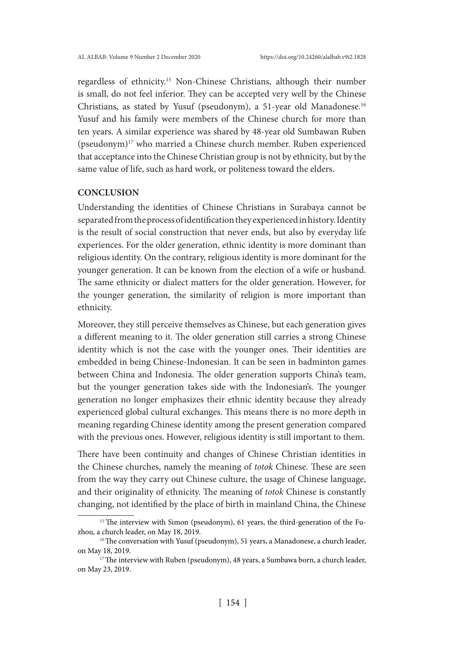regardless of ethnicity.15 Non-Chinese Christians, although their number is small, do not feel inferior. They can be accepted very well by the Chinese Christians, as stated by Yusuf (pseudonym), a 51-year old Manadonese.16 Yusuf and his family were members of the Chinese church for more than ten years. A similar experience was shared by 48-year old Sumbawan Ruben (pseudonym)17 who married a Chinese church member. Ruben experienced that acceptance into the Chinese Christian group is not by ethnicity, but by the same value of life, such as hard work, or politeness toward the elders.

### **CONCLUSION**

Understanding the identities of Chinese Christians in Surabaya cannot be separated from the process of identification they experienced in history. Identity is the result of social construction that never ends, but also by everyday life experiences. For the older generation, ethnic identity is more dominant than religious identity. On the contrary, religious identity is more dominant for the younger generation. It can be known from the election of a wife or husband. The same ethnicity or dialect matters for the older generation. However, for the younger generation, the similarity of religion is more important than ethnicity.

Moreover, they still perceive themselves as Chinese, but each generation gives a different meaning to it. The older generation still carries a strong Chinese identity which is not the case with the younger ones. Their identities are embedded in being Chinese-Indonesian. It can be seen in badminton games between China and Indonesia. The older generation supports China's team, but the younger generation takes side with the Indonesian's. The younger generation no longer emphasizes their ethnic identity because they already experienced global cultural exchanges. This means there is no more depth in meaning regarding Chinese identity among the present generation compared with the previous ones. However, religious identity is still important to them.

There have been continuity and changes of Chinese Christian identities in the Chinese churches, namely the meaning of *totok* Chinese. These are seen from the way they carry out Chinese culture, the usage of Chinese language, and their originality of ethnicity. The meaning of *totok* Chinese is constantly changing, not identified by the place of birth in mainland China, the Chinese

<sup>&</sup>lt;sup>15</sup> The interview with Simon (pseudonym), 61 years, the third-generation of the Fuzhou, a church leader, on May 18, 2019.

<sup>&</sup>lt;sup>16</sup>The conversation with Yusuf (pseudonym), 51 years, a Manadonese, a church leader, on May 18, 2019.<br><sup>17</sup>The interview with Ruben (pseudonym), 48 years, a Sumbawa born, a church leader,

on May 23, 2019.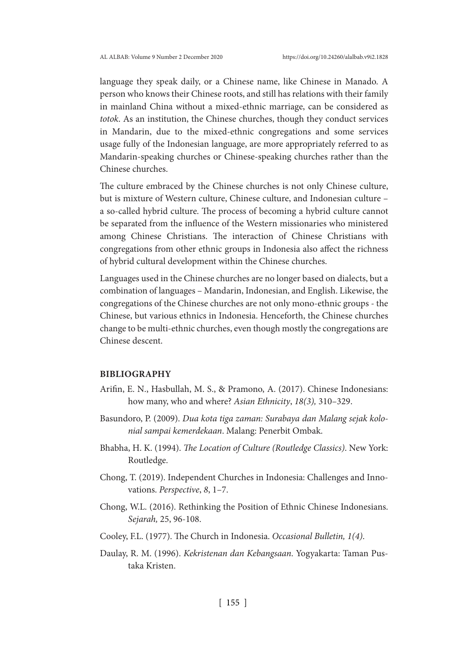language they speak daily, or a Chinese name, like Chinese in Manado. A person who knows their Chinese roots, and still has relations with their family in mainland China without a mixed-ethnic marriage, can be considered as *totok*. As an institution, the Chinese churches, though they conduct services in Mandarin, due to the mixed-ethnic congregations and some services usage fully of the Indonesian language, are more appropriately referred to as Mandarin-speaking churches or Chinese-speaking churches rather than the Chinese churches.

The culture embraced by the Chinese churches is not only Chinese culture, but is mixture of Western culture, Chinese culture, and Indonesian culture – a so-called hybrid culture. The process of becoming a hybrid culture cannot be separated from the influence of the Western missionaries who ministered among Chinese Christians. The interaction of Chinese Christians with congregations from other ethnic groups in Indonesia also affect the richness of hybrid cultural development within the Chinese churches.

Languages used in the Chinese churches are no longer based on dialects, but a combination of languages – Mandarin, Indonesian, and English. Likewise, the congregations of the Chinese churches are not only mono-ethnic groups - the Chinese, but various ethnics in Indonesia. Henceforth, the Chinese churches change to be multi-ethnic churches, even though mostly the congregations are Chinese descent.

#### **BIBLIOGRAPHY**

- Arifin, E. N., Hasbullah, M. S., & Pramono, A. (2017). Chinese Indonesians: how many, who and where? *Asian Ethnicity*, *18(3),* 310–329.
- Basundoro, P. (2009). *Dua kota tiga zaman: Surabaya dan Malang sejak kolonial sampai kemerdekaan*. Malang: Penerbit Ombak.
- Bhabha, H. K. (1994). *The Location of Culture (Routledge Classics)*. New York: Routledge.
- Chong, T. (2019). Independent Churches in Indonesia: Challenges and Innovations. *Perspective*, *8*, 1–7.
- Chong, W.L. (2016). Rethinking the Position of Ethnic Chinese Indonesians. *Sejarah,* 25, 96-108.
- Cooley, F.L. (1977). The Church in Indonesia. *Occasional Bulletin, 1(4)*.
- Daulay, R. M. (1996). *Kekristenan dan Kebangsaan*. Yogyakarta: Taman Pustaka Kristen.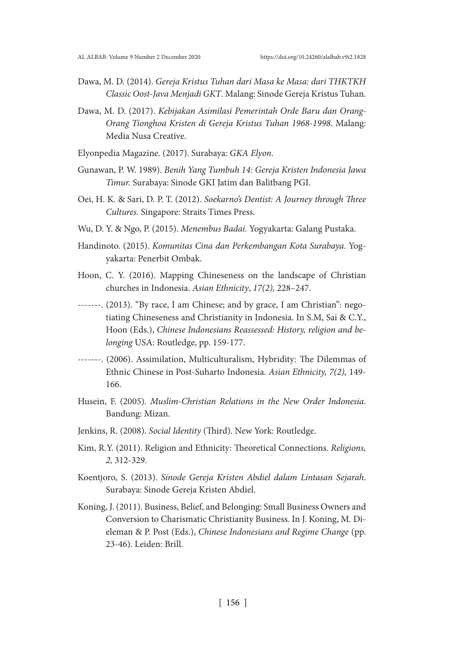- Dawa, M. D. (2014). *Gereja Kristus Tuhan dari Masa ke Masa: dari THKTKH Classic Oost-Java Menjadi GKT*. Malang: Sinode Gereja Kristus Tuhan.
- Dawa, M. D. (2017). *Kebijakan Asimilasi Pemerintah Orde Baru dan Orang-Orang Tionghoa Kristen di Gereja Kristus Tuhan 1968-1998*. Malang: Media Nusa Creative.
- Elyonpedia Magazine. (2017). Surabaya: *GKA Elyon*.
- Gunawan, P. W. 1989). *Benih Yang Tumbuh 14: Gereja Kristen Indonesia Jawa Timur.* Surabaya: Sinode GKI Jatim dan Balitbang PGI.
- Oei, H. K. & Sari, D. P. T. (2012). *Soekarno's Dentist: A Journey through Three Cultures.* Singapore: Straits Times Press.
- Wu, D. Y. & Ngo, P. (2015). *Menembus Badai.* Yogyakarta: Galang Pustaka.
- Handinoto. (2015). *Komunitas Cina dan Perkembangan Kota Surabaya*. Yogyakarta: Penerbit Ombak.
- Hoon, C. Y. (2016). Mapping Chineseness on the landscape of Christian churches in Indonesia. *Asian Ethnicity*, *17(2),* 228–247.
- -------. (2013). "By race, I am Chinese; and by grace, I am Christian": negotiating Chineseness and Christianity in Indonesia. In S.M, Sai & C.Y., Hoon (Eds.), *Chinese Indonesians Reassessed: History, religion and belonging* USA: Routledge, pp. 159-177.
- -------. (2006). Assimilation, Multiculturalism, Hybridity: The Dilemmas of Ethnic Chinese in Post-Suharto Indonesia. *Asian Ethnicity, 7(2),* 149- 166.
- Husein, F. (2005). *Muslim-Christian Relations in the New Order Indonesia*. Bandung: Mizan.
- Jenkins, R. (2008). *Social Identity* (Third). New York: Routledge.
- Kim, R.Y. (2011). Religion and Ethnicity: Theoretical Connections. *Religions, 2,* 312-329.
- Koentjoro, S. (2013). *Sinode Gereja Kristen Abdiel dalam Lintasan Sejarah*. Surabaya: Sinode Gereja Kristen Abdiel.
- Koning, J. (2011). Business, Belief, and Belonging: Small Business Owners and Conversion to Charismatic Christianity Business. In J. Koning, M. Dieleman & P. Post (Eds.), *Chinese Indonesians and Regime Change* (pp. 23-46). Leiden: Brill.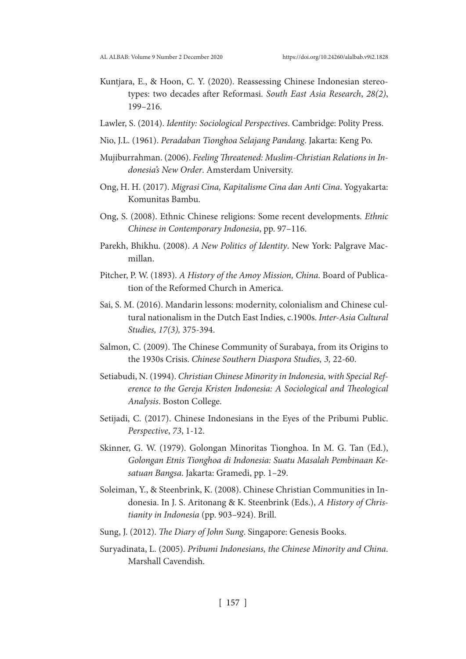- Kuntjara, E., & Hoon, C. Y. (2020). Reassessing Chinese Indonesian stereotypes: two decades after Reformasi. *South East Asia Research*, *28(2)*, 199–216.
- Lawler, S. (2014). *Identity: Sociological Perspectives*. Cambridge: Polity Press.
- Nio, J.L. (1961). *Peradaban Tionghoa Selajang Pandang*. Jakarta: Keng Po.
- Mujiburrahman. (2006). *Feeling Threatened: Muslim-Christian Relations in Indonesia's New Order*. Amsterdam University.
- Ong, H. H. (2017). *Migrasi Cina, Kapitalisme Cina dan Anti Cina*. Yogyakarta: Komunitas Bambu.
- Ong, S. (2008). Ethnic Chinese religions: Some recent developments. *Ethnic Chinese in Contemporary Indonesia*, pp. 97–116.
- Parekh, Bhikhu. (2008). *A New Politics of Identity*. New York: Palgrave Macmillan.
- Pitcher, P. W. (1893). *A History of the Amoy Mission, China*. Board of Publication of the Reformed Church in America.
- Sai, S. M. (2016). Mandarin lessons: modernity, colonialism and Chinese cultural nationalism in the Dutch East Indies, c.1900s. *Inter-Asia Cultural Studies, 17(3),* 375-394.
- Salmon, C. (2009). The Chinese Community of Surabaya, from its Origins to the 1930s Crisis. *Chinese Southern Diaspora Studies, 3,* 22-60.
- Setiabudi, N. (1994). *Christian Chinese Minority in Indonesia, with Special Reference to the Gereja Kristen Indonesia: A Sociological and Theological Analysis*. Boston College.
- Setijadi, C. (2017). Chinese Indonesians in the Eyes of the Pribumi Public. *Perspective*, *73*, 1-12.
- Skinner, G. W. (1979). Golongan Minoritas Tionghoa. In M. G. Tan (Ed.), *Golongan Etnis Tionghoa di Indonesia: Suatu Masalah Pembinaan Kesatuan Bangsa*. Jakarta: Gramedi, pp. 1–29.
- Soleiman, Y., & Steenbrink, K. (2008). Chinese Christian Communities in Indonesia. In J. S. Aritonang & K. Steenbrink (Eds.), *A History of Christianity in Indonesia* (pp. 903–924). Brill.
- Sung, J. (2012). *The Diary of John Sung*. Singapore: Genesis Books.
- Suryadinata, L. (2005). *Pribumi Indonesians, the Chinese Minority and China*. Marshall Cavendish.